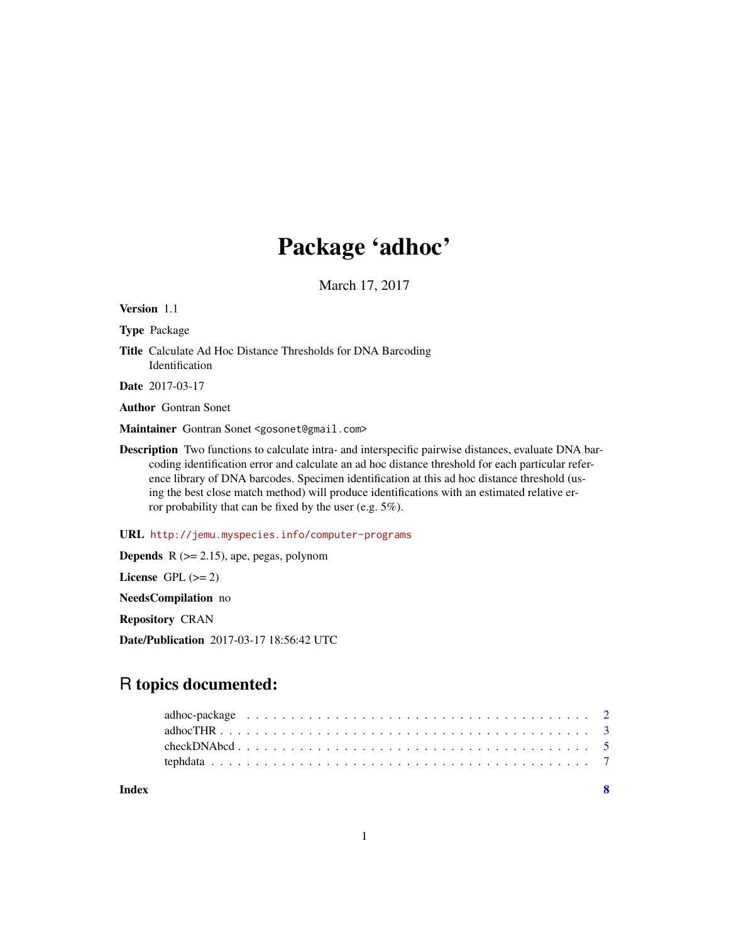## Package 'adhoc'

March 17, 2017

Version 1.1

Type Package

Title Calculate Ad Hoc Distance Thresholds for DNA Barcoding Identification

Date 2017-03-17

Author Gontran Sonet

Maintainer Gontran Sonet <gosonet@gmail.com>

Description Two functions to calculate intra- and interspecific pairwise distances, evaluate DNA barcoding identification error and calculate an ad hoc distance threshold for each particular reference library of DNA barcodes. Specimen identification at this ad hoc distance threshold (using the best close match method) will produce identifications with an estimated relative error probability that can be fixed by the user (e.g. 5%).

URL <http://jemu.myspecies.info/computer-programs>

**Depends**  $R$  ( $>= 2.15$ ), ape, pegas, polynom License GPL  $(>= 2)$ NeedsCompilation no Repository CRAN Date/Publication 2017-03-17 18:56:42 UTC

## R topics documented:

**Index** [8](#page-7-0) **8**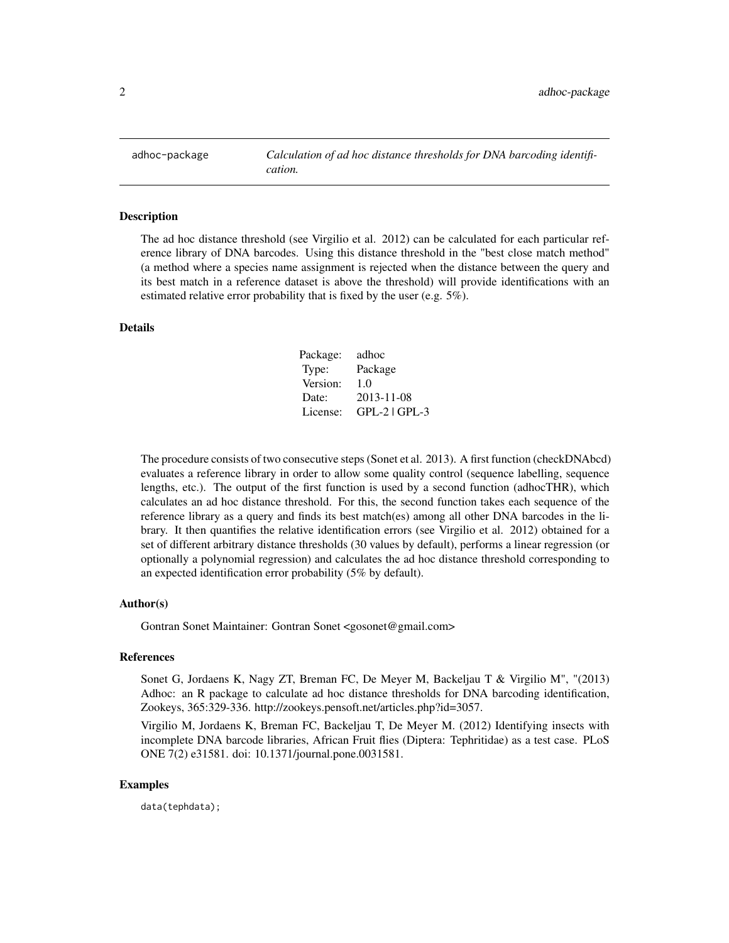<span id="page-1-0"></span>

#### Description

The ad hoc distance threshold (see Virgilio et al. 2012) can be calculated for each particular reference library of DNA barcodes. Using this distance threshold in the "best close match method" (a method where a species name assignment is rejected when the distance between the query and its best match in a reference dataset is above the threshold) will provide identifications with an estimated relative error probability that is fixed by the user (e.g. 5%).

#### Details

| Package: | adhoc           |
|----------|-----------------|
| Type:    | Package         |
| Version: | 1.0             |
| Date:    | 2013-11-08      |
| License: | $GPL-2$ $GPL-3$ |

The procedure consists of two consecutive steps (Sonet et al. 2013). A first function (checkDNAbcd) evaluates a reference library in order to allow some quality control (sequence labelling, sequence lengths, etc.). The output of the first function is used by a second function (adhocTHR), which calculates an ad hoc distance threshold. For this, the second function takes each sequence of the reference library as a query and finds its best match(es) among all other DNA barcodes in the library. It then quantifies the relative identification errors (see Virgilio et al. 2012) obtained for a set of different arbitrary distance thresholds (30 values by default), performs a linear regression (or optionally a polynomial regression) and calculates the ad hoc distance threshold corresponding to an expected identification error probability (5% by default).

#### Author(s)

Gontran Sonet Maintainer: Gontran Sonet <gosonet@gmail.com>

#### References

Sonet G, Jordaens K, Nagy ZT, Breman FC, De Meyer M, Backeljau T & Virgilio M", "(2013) Adhoc: an R package to calculate ad hoc distance thresholds for DNA barcoding identification, Zookeys, 365:329-336. http://zookeys.pensoft.net/articles.php?id=3057.

Virgilio M, Jordaens K, Breman FC, Backeljau T, De Meyer M. (2012) Identifying insects with incomplete DNA barcode libraries, African Fruit flies (Diptera: Tephritidae) as a test case. PLoS ONE 7(2) e31581. doi: 10.1371/journal.pone.0031581.

#### Examples

data(tephdata);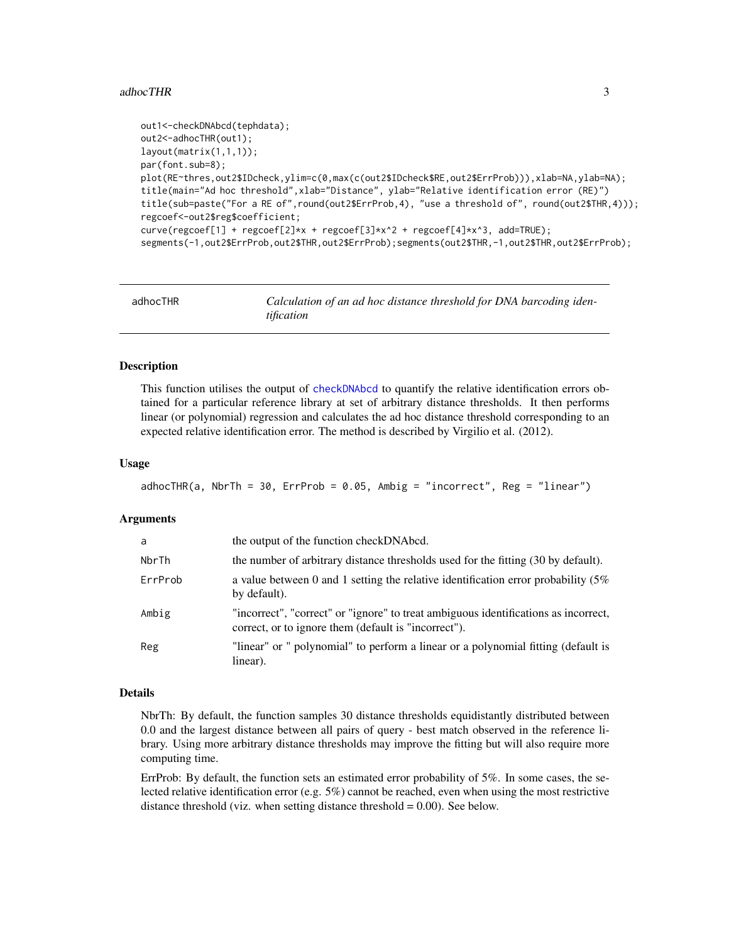#### <span id="page-2-0"></span>adhocTHR 3

```
out1<-checkDNAbcd(tephdata);
out2<-adhocTHR(out1);
layout(matrix(1,1,1));
par(font.sub=8);
plot(RE~thres,out2$IDcheck,ylim=c(0,max(c(out2$IDcheck$RE,out2$ErrProb))),xlab=NA,ylab=NA);
title(main="Ad hoc threshold",xlab="Distance", ylab="Relative identification error (RE)")
title(sub=paste("For a RE of",round(out2$ErrProb,4), "use a threshold of", round(out2$THR,4)));
regcoef<-out2$reg$coefficient;
curve(regcoef[1] + regcoef[2]*x + regcoef[3]*x^2 + regcoef[4]*x^3, add=TRUE);
segments(-1,out2$ErrProb,out2$THR,out2$ErrProb);segments(out2$THR,-1,out2$THR,out2$ErrProb);
```
<span id="page-2-1"></span>

| adhocTHR | Calculation of an ad hoc distance threshold for DNA barcoding iden- |
|----------|---------------------------------------------------------------------|
|          | tification                                                          |

#### **Description**

This function utilises the output of [checkDNAbcd](#page-4-1) to quantify the relative identification errors obtained for a particular reference library at set of arbitrary distance thresholds. It then performs linear (or polynomial) regression and calculates the ad hoc distance threshold corresponding to an expected relative identification error. The method is described by Virgilio et al. (2012).

#### Usage

```
adhocTHR(a, NbrTh = 30, ErrProb = 0.05, Ambig = "incorrect", Reg = "linear")
```
#### Arguments

| a       | the output of the function checkDNAbcd.                                                                                                     |
|---------|---------------------------------------------------------------------------------------------------------------------------------------------|
| NbrTh   | the number of arbitrary distance thresholds used for the fitting (30 by default).                                                           |
| ErrProb | a value between 0 and 1 setting the relative identification error probability $(5\%$<br>by default).                                        |
| Ambig   | "incorrect", "correct" or "ignore" to treat ambiguous identifications as incorrect,<br>correct, or to ignore them (default is "incorrect"). |
| Reg     | "linear" or " polynomial" to perform a linear or a polynomial fitting (default is<br>linear).                                               |

#### Details

NbrTh: By default, the function samples 30 distance thresholds equidistantly distributed between 0.0 and the largest distance between all pairs of query - best match observed in the reference library. Using more arbitrary distance thresholds may improve the fitting but will also require more computing time.

ErrProb: By default, the function sets an estimated error probability of 5%. In some cases, the selected relative identification error (e.g. 5%) cannot be reached, even when using the most restrictive distance threshold (viz. when setting distance threshold  $= 0.00$ ). See below.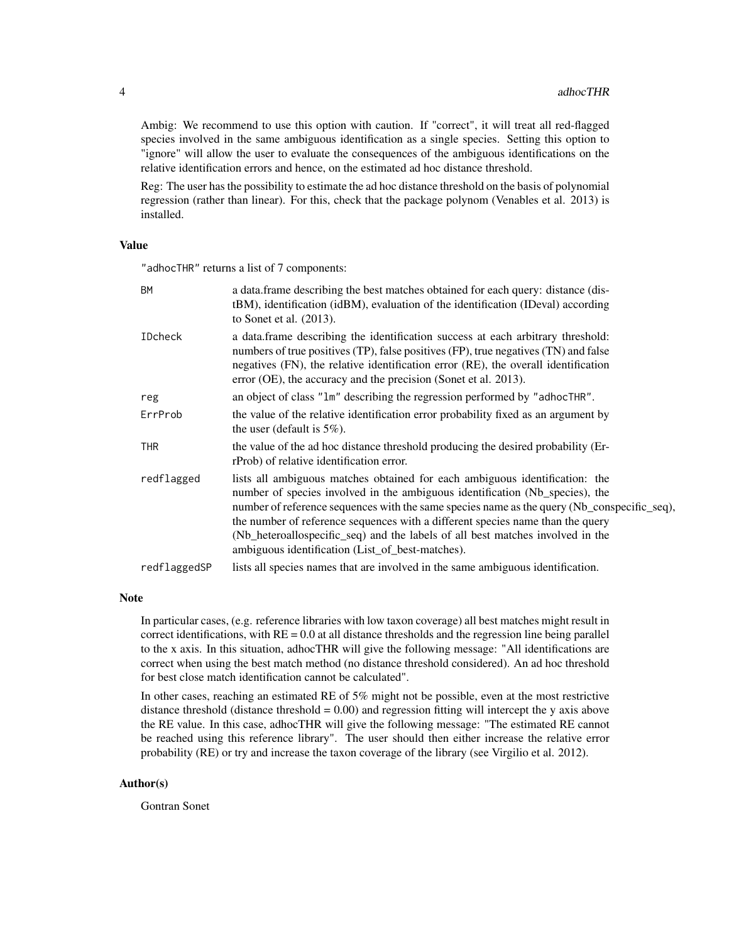Ambig: We recommend to use this option with caution. If "correct", it will treat all red-flagged species involved in the same ambiguous identification as a single species. Setting this option to "ignore" will allow the user to evaluate the consequences of the ambiguous identifications on the relative identification errors and hence, on the estimated ad hoc distance threshold.

Reg: The user has the possibility to estimate the ad hoc distance threshold on the basis of polynomial regression (rather than linear). For this, check that the package polynom (Venables et al. 2013) is installed.

#### Value

"adhocTHR" returns a list of 7 components:

| <b>BM</b>      | a data.frame describing the best matches obtained for each query: distance (dis-<br>tBM), identification (idBM), evaluation of the identification (IDeval) according<br>to Sonet et al. $(2013)$ .                                                                                                                                                                                                                                                                                 |
|----------------|------------------------------------------------------------------------------------------------------------------------------------------------------------------------------------------------------------------------------------------------------------------------------------------------------------------------------------------------------------------------------------------------------------------------------------------------------------------------------------|
| <b>IDcheck</b> | a data frame describing the identification success at each arbitrary threshold:<br>numbers of true positives (TP), false positives (FP), true negatives (TN) and false<br>negatives (FN), the relative identification error (RE), the overall identification<br>error (OE), the accuracy and the precision (Sonet et al. 2013).                                                                                                                                                    |
| reg            | an object of class "1m" describing the regression performed by "adhocTHR".                                                                                                                                                                                                                                                                                                                                                                                                         |
| ErrProb        | the value of the relative identification error probability fixed as an argument by<br>the user (default is $5\%$ ).                                                                                                                                                                                                                                                                                                                                                                |
| <b>THR</b>     | the value of the ad hoc distance threshold producing the desired probability (Er-<br>rProb) of relative identification error.                                                                                                                                                                                                                                                                                                                                                      |
| redflagged     | lists all ambiguous matches obtained for each ambiguous identification: the<br>number of species involved in the ambiguous identification (Nb_species), the<br>number of reference sequences with the same species name as the query (Nb_conspecific_seq),<br>the number of reference sequences with a different species name than the query<br>(Nb_heteroallospecific_seq) and the labels of all best matches involved in the<br>ambiguous identification (List_of_best-matches). |
| redflaggedSP   | lists all species names that are involved in the same ambiguous identification.                                                                                                                                                                                                                                                                                                                                                                                                    |

#### Note

In particular cases, (e.g. reference libraries with low taxon coverage) all best matches might result in correct identifications, with  $RE = 0.0$  at all distance thresholds and the regression line being parallel to the x axis. In this situation, adhocTHR will give the following message: "All identifications are correct when using the best match method (no distance threshold considered). An ad hoc threshold for best close match identification cannot be calculated".

In other cases, reaching an estimated RE of 5% might not be possible, even at the most restrictive distance threshold (distance threshold  $= 0.00$ ) and regression fitting will intercept the y axis above the RE value. In this case, adhocTHR will give the following message: "The estimated RE cannot be reached using this reference library". The user should then either increase the relative error probability (RE) or try and increase the taxon coverage of the library (see Virgilio et al. 2012).

#### Author(s)

Gontran Sonet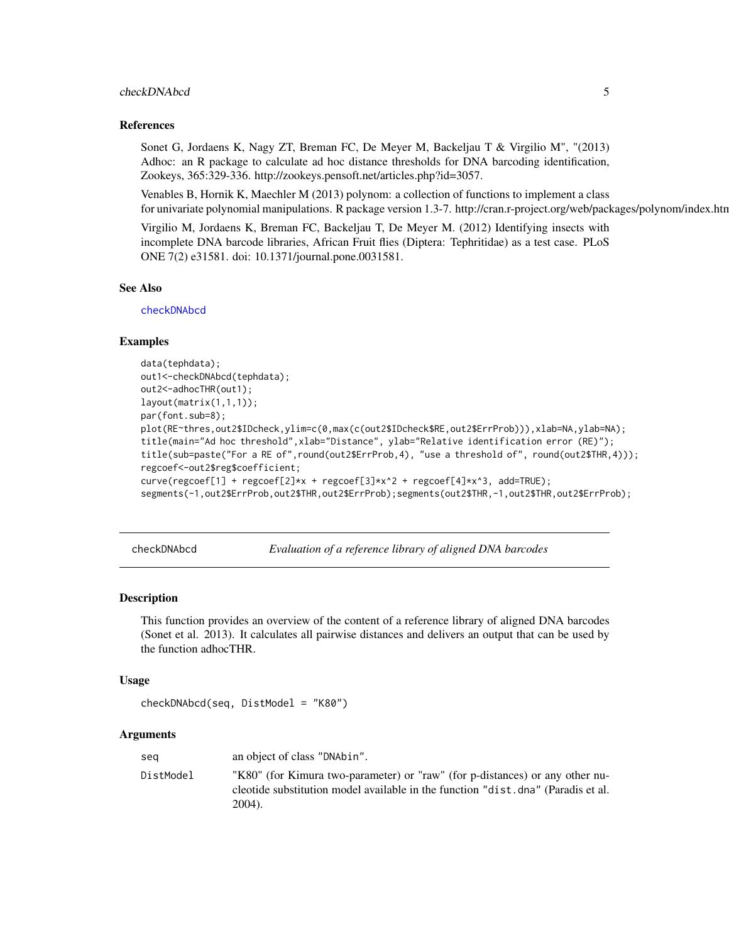#### <span id="page-4-0"></span>checkDNAbcd 5

#### References

Sonet G, Jordaens K, Nagy ZT, Breman FC, De Meyer M, Backeljau T & Virgilio M", "(2013) Adhoc: an R package to calculate ad hoc distance thresholds for DNA barcoding identification, Zookeys, 365:329-336. http://zookeys.pensoft.net/articles.php?id=3057.

Venables B, Hornik K, Maechler M (2013) polynom: a collection of functions to implement a class for univariate polynomial manipulations. R package version 1.3-7. http://cran.r-project.org/web/packages/polynom/index.htm

Virgilio M, Jordaens K, Breman FC, Backeljau T, De Meyer M. (2012) Identifying insects with incomplete DNA barcode libraries, African Fruit flies (Diptera: Tephritidae) as a test case. PLoS ONE 7(2) e31581. doi: 10.1371/journal.pone.0031581.

#### See Also

[checkDNAbcd](#page-4-1)

#### Examples

```
data(tephdata);
out1<-checkDNAbcd(tephdata);
out2<-adhocTHR(out1);
layout(matrix(1,1,1));
par(font.sub=8);
plot(RE~thres,out2$IDcheck,ylim=c(0,max(c(out2$IDcheck$RE,out2$ErrProb))),xlab=NA,ylab=NA);
title(main="Ad hoc threshold",xlab="Distance", ylab="Relative identification error (RE)");
title(sub=paste("For a RE of",round(out2$ErrProb,4), "use a threshold of", round(out2$THR,4)));
regcoef<-out2$reg$coefficient;
curve(regcoef[1] + regcoef[2]*x + regcoef[3]*x^2 + regcoef[4]*x^3, add=TRUE);
segments(-1,out2$ErrProb,out2$THR,out2$ErrProb);segments(out2$THR,-1,out2$THR,out2$ErrProb);
```
<span id="page-4-1"></span>checkDNAbcd *Evaluation of a reference library of aligned DNA barcodes*

#### **Description**

This function provides an overview of the content of a reference library of aligned DNA barcodes (Sonet et al. 2013). It calculates all pairwise distances and delivers an output that can be used by the function adhocTHR.

#### Usage

```
checkDNAbcd(seq, DistModel = "K80")
```
#### Arguments

| seg       | an object of class "DNAbin".                                                                                                                                               |
|-----------|----------------------------------------------------------------------------------------------------------------------------------------------------------------------------|
| DistModel | "K80" (for Kimura two-parameter) or "raw" (for p-distances) or any other nu-<br>cleotide substitution model available in the function "dist.dna" (Paradis et al.<br>2004). |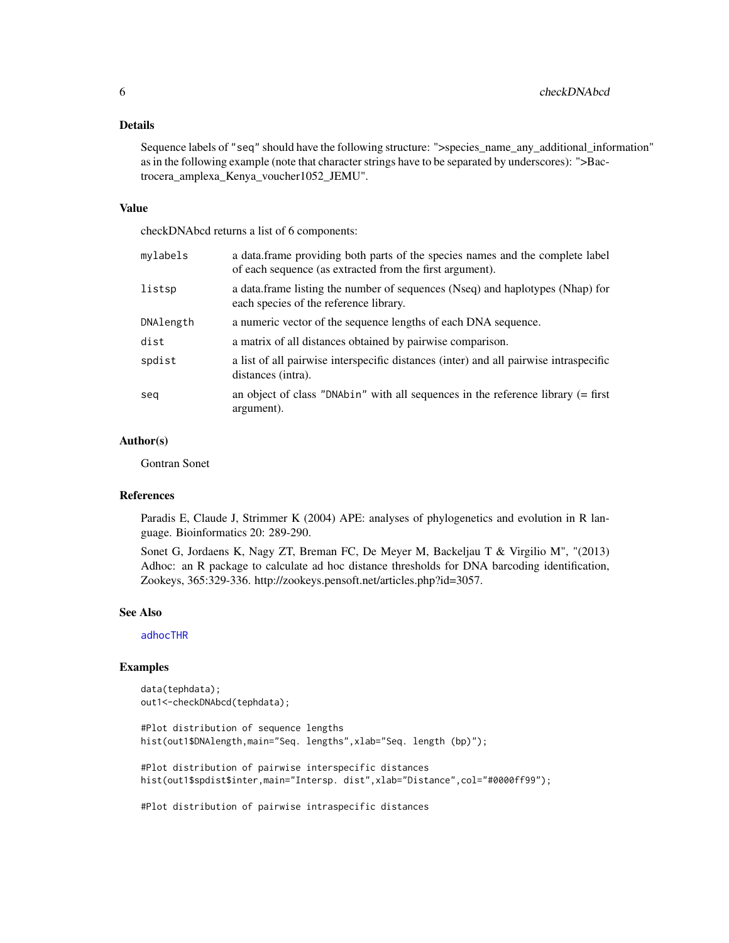#### <span id="page-5-0"></span>Details

Sequence labels of "seq" should have the following structure: ">species\_name\_any\_additional\_information" as in the following example (note that character strings have to be separated by underscores): ">Bactrocera\_amplexa\_Kenya\_voucher1052\_JEMU".

#### Value

checkDNAbcd returns a list of 6 components:

| mylabels  | a data.frame providing both parts of the species names and the complete label<br>of each sequence (as extracted from the first argument). |
|-----------|-------------------------------------------------------------------------------------------------------------------------------------------|
| listsp    | a data.frame listing the number of sequences (Nseq) and haplotypes (Nhap) for<br>each species of the reference library.                   |
| DNAlength | a numeric vector of the sequence lengths of each DNA sequence.                                                                            |
| dist      | a matrix of all distances obtained by pairwise comparison.                                                                                |
| spdist    | a list of all pairwise interspecific distances (inter) and all pairwise intraspecific<br>distances (intra).                               |
| sea       | an object of class "DNAbin" with all sequences in the reference library $(=\text{first})$<br>argument).                                   |

#### Author(s)

Gontran Sonet

#### References

Paradis E, Claude J, Strimmer K (2004) APE: analyses of phylogenetics and evolution in R language. Bioinformatics 20: 289-290.

Sonet G, Jordaens K, Nagy ZT, Breman FC, De Meyer M, Backeljau T & Virgilio M", "(2013) Adhoc: an R package to calculate ad hoc distance thresholds for DNA barcoding identification, Zookeys, 365:329-336. http://zookeys.pensoft.net/articles.php?id=3057.

#### See Also

[adhocTHR](#page-2-1)

#### Examples

```
data(tephdata);
out1<-checkDNAbcd(tephdata);
#Plot distribution of sequence lengths
hist(out1$DNAlength,main="Seq. lengths",xlab="Seq. length (bp)");
#Plot distribution of pairwise interspecific distances
hist(out1$spdist$inter,main="Intersp. dist",xlab="Distance",col="#0000ff99");
```
#Plot distribution of pairwise intraspecific distances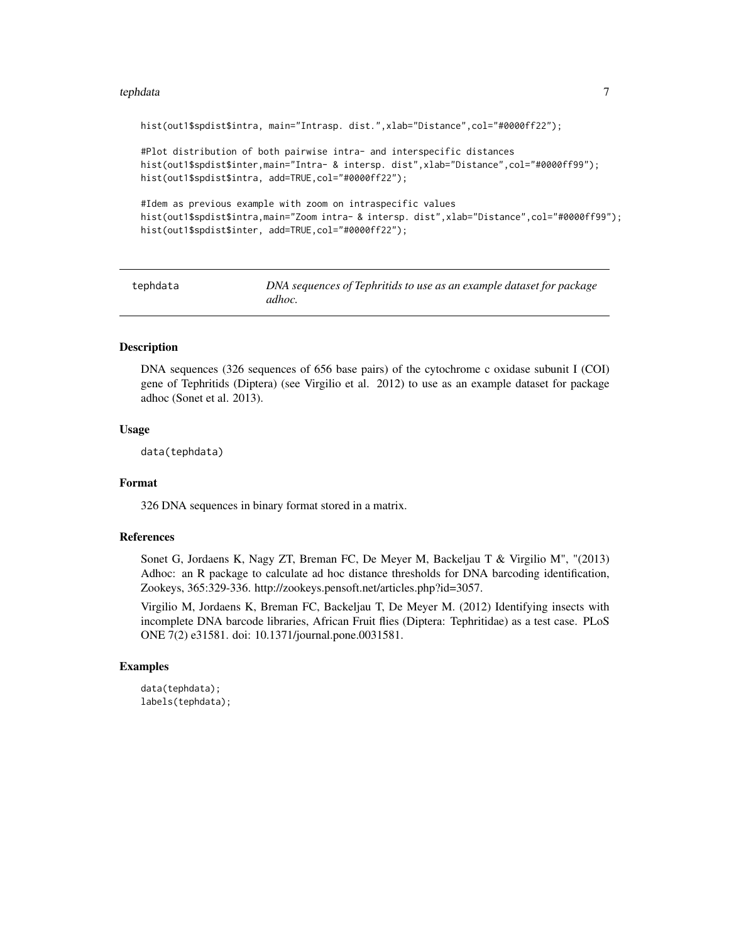#### <span id="page-6-0"></span>tephdata 7

hist(out1\$spdist\$intra, main="Intrasp. dist.",xlab="Distance",col="#0000ff22"); #Plot distribution of both pairwise intra- and interspecific distances hist(out1\$spdist\$inter,main="Intra- & intersp. dist",xlab="Distance",col="#0000ff99"); hist(out1\$spdist\$intra, add=TRUE, col="#0000ff22"); #Idem as previous example with zoom on intraspecific values hist(out1\$spdist\$intra,main="Zoom intra- & intersp. dist",xlab="Distance",col="#0000ff99"); hist(out1\$spdist\$inter, add=TRUE, col="#0000ff22");

tephdata *DNA sequences of Tephritids to use as an example dataset for package adhoc.*

#### Description

DNA sequences (326 sequences of 656 base pairs) of the cytochrome c oxidase subunit I (COI) gene of Tephritids (Diptera) (see Virgilio et al. 2012) to use as an example dataset for package adhoc (Sonet et al. 2013).

#### Usage

data(tephdata)

#### Format

326 DNA sequences in binary format stored in a matrix.

#### References

Sonet G, Jordaens K, Nagy ZT, Breman FC, De Meyer M, Backeljau T & Virgilio M", "(2013) Adhoc: an R package to calculate ad hoc distance thresholds for DNA barcoding identification, Zookeys, 365:329-336. http://zookeys.pensoft.net/articles.php?id=3057.

Virgilio M, Jordaens K, Breman FC, Backeljau T, De Meyer M. (2012) Identifying insects with incomplete DNA barcode libraries, African Fruit flies (Diptera: Tephritidae) as a test case. PLoS ONE 7(2) e31581. doi: 10.1371/journal.pone.0031581.

#### Examples

```
data(tephdata);
labels(tephdata);
```